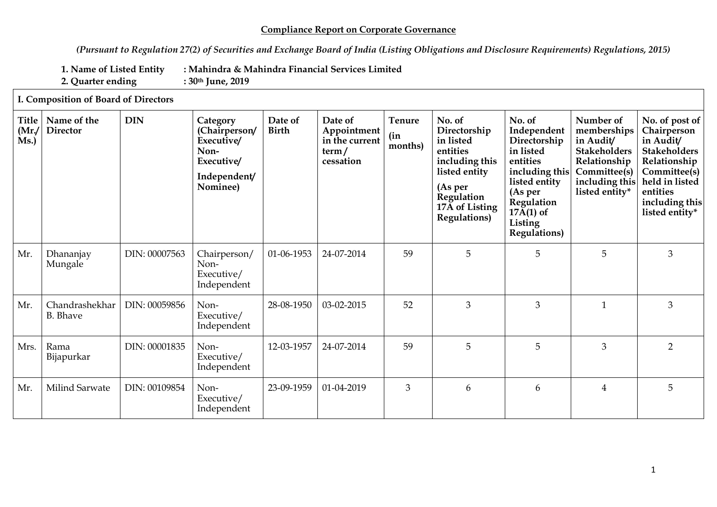## **Compliance Report on Corporate Governance**

*(Pursuant to Regulation 27(2) of Securities and Exchange Board of India (Listing Obligations and Disclosure Requirements) Regulations, 2015)*

**1. Name of Listed Entity : Mahindra & Mahindra Financial Services Limited**

**2. Quarter ending : 30th June, 2019**

## **I. Composition of Board of Directors**

| Title<br>(Mr)<br>Ms.) | Name of the<br><b>Director</b>    | <b>DIN</b>    | Category<br>(Chairperson/<br>Executive/<br>Non-<br>Executive/<br>Independent/<br>Nominee) | Date of<br><b>Birth</b> | Date of<br>Appointment<br>in the current<br>term/<br>cessation | Tenure<br>(in<br>months) | No. of<br>Directorship<br>in listed<br>entities<br>including this<br>listed entity<br>(As per<br>Regulation<br>17A of Listing<br>Regulations) | No. of<br>Independent<br>Directorship<br>in listed<br>entities<br>including this<br>listed entity<br>(As per<br>Regulation<br>$17\overline{A}(1)$ of<br>Listing<br><b>Regulations</b> ) | Number of<br>memberships<br>in Audit/<br><b>Stakeholders</b><br>Relationship<br>Committee(s)<br>including this<br>listed entity* | No. of post of<br>Chairperson<br>in Audit/<br><b>Stakeholders</b><br>Relationship<br>Committee(s)<br>held in listed<br>entities<br>including this<br>listed entity* |
|-----------------------|-----------------------------------|---------------|-------------------------------------------------------------------------------------------|-------------------------|----------------------------------------------------------------|--------------------------|-----------------------------------------------------------------------------------------------------------------------------------------------|-----------------------------------------------------------------------------------------------------------------------------------------------------------------------------------------|----------------------------------------------------------------------------------------------------------------------------------|---------------------------------------------------------------------------------------------------------------------------------------------------------------------|
| Mr.                   | Dhananjay<br>Mungale              | DIN: 00007563 | Chairperson/<br>Non-<br>Executive/<br>Independent                                         | 01-06-1953              | 24-07-2014                                                     | 59                       | 5                                                                                                                                             | 5                                                                                                                                                                                       | 5                                                                                                                                | 3                                                                                                                                                                   |
| Mr.                   | Chandrashekhar<br><b>B.</b> Bhave | DIN: 00059856 | Non-<br>Executive/<br>Independent                                                         | 28-08-1950              | 03-02-2015                                                     | 52                       | 3                                                                                                                                             | 3                                                                                                                                                                                       | $\mathbf{1}$                                                                                                                     | $\mathfrak{Z}$                                                                                                                                                      |
| Mrs.                  | Rama<br>Bijapurkar                | DIN: 00001835 | Non-<br>Executive/<br>Independent                                                         | 12-03-1957              | 24-07-2014                                                     | 59                       | 5                                                                                                                                             | 5                                                                                                                                                                                       | 3                                                                                                                                | $\overline{2}$                                                                                                                                                      |
| Mr.                   | Milind Sarwate                    | DIN: 00109854 | Non-<br>Executive/<br>Independent                                                         | 23-09-1959              | 01-04-2019                                                     | 3                        | 6                                                                                                                                             | 6                                                                                                                                                                                       | 4                                                                                                                                | 5                                                                                                                                                                   |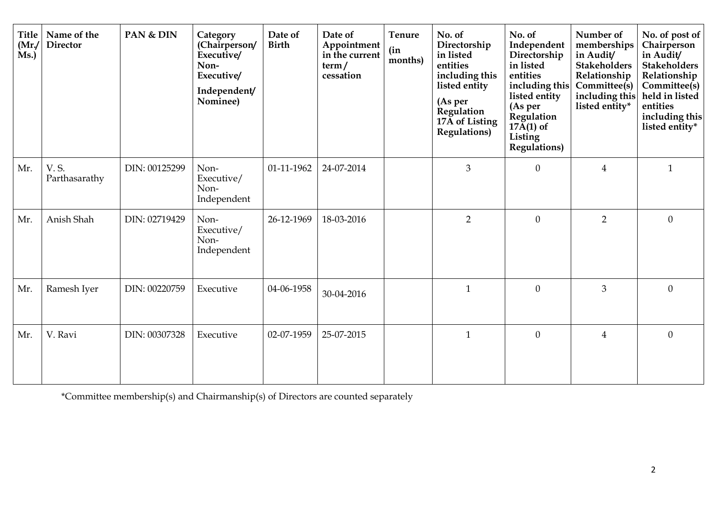| <b>Title</b><br>(Mr)<br>Ms.) | Name of the<br><b>Director</b> | PAN & DIN     | Category<br>(Chairperson/<br>Executive/<br>Non-<br>Executive/<br>Independent/<br>Nominee) | Date of<br><b>Birth</b> | Date of<br>Appointment<br>in the current<br>term/<br>cessation | <b>Tenure</b><br>(in<br>months) | No. of<br>Directorship<br>in listed<br>entities<br>including this<br>listed entity<br>(As per<br>Regulation<br>17A of Listing<br>Regulations) | No. of<br>Independent<br>Directorship<br>in listed<br>entities<br>including this<br>listed entity<br>(As per<br>Regulation<br>$17\overline{A}(1)$ of<br>Listing<br><b>Regulations</b> ) | Number of<br>memberships<br>in Audit/<br><b>Stakeholders</b><br>Relationship<br>Committee(s)<br>including this<br>listed entity* | No. of post of<br>Chairperson<br>in Audit/<br><b>Stakeholders</b><br>Relationship<br>Committee(s)<br>held in listed<br>entities<br>including this<br>listed entity* |
|------------------------------|--------------------------------|---------------|-------------------------------------------------------------------------------------------|-------------------------|----------------------------------------------------------------|---------------------------------|-----------------------------------------------------------------------------------------------------------------------------------------------|-----------------------------------------------------------------------------------------------------------------------------------------------------------------------------------------|----------------------------------------------------------------------------------------------------------------------------------|---------------------------------------------------------------------------------------------------------------------------------------------------------------------|
| Mr.                          | V. S.<br>Parthasarathy         | DIN: 00125299 | Non-<br>Executive/<br>Non-<br>Independent                                                 | 01-11-1962              | 24-07-2014                                                     |                                 | $\overline{3}$                                                                                                                                | $\mathbf{0}$                                                                                                                                                                            | $\overline{4}$                                                                                                                   | $\mathbf{1}$                                                                                                                                                        |
| Mr.                          | Anish Shah                     | DIN: 02719429 | Non-<br>Executive/<br>Non-<br>Independent                                                 | 26-12-1969              | 18-03-2016                                                     |                                 | $\overline{2}$                                                                                                                                | $\overline{0}$                                                                                                                                                                          | $\overline{2}$                                                                                                                   | $\Omega$                                                                                                                                                            |
| Mr.                          | Ramesh Iyer                    | DIN: 00220759 | Executive                                                                                 | 04-06-1958              | 30-04-2016                                                     |                                 | $\mathbf{1}$                                                                                                                                  | $\overline{0}$                                                                                                                                                                          | $\overline{3}$                                                                                                                   | $\Omega$                                                                                                                                                            |
| Mr.                          | V. Ravi                        | DIN: 00307328 | Executive                                                                                 | 02-07-1959              | 25-07-2015                                                     |                                 | $\mathbf{1}$                                                                                                                                  | $\theta$                                                                                                                                                                                | $\overline{4}$                                                                                                                   | $\Omega$                                                                                                                                                            |

\*Committee membership(s) and Chairmanship(s) of Directors are counted separately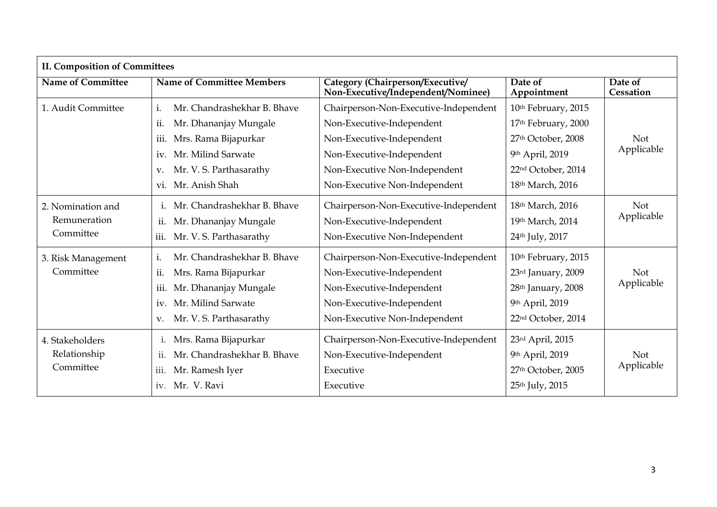| <b>II. Composition of Committees</b>           |                                                                                                                                                                                          |                                                                                                                                                                                                |                                                                                                                                  |                          |  |  |  |
|------------------------------------------------|------------------------------------------------------------------------------------------------------------------------------------------------------------------------------------------|------------------------------------------------------------------------------------------------------------------------------------------------------------------------------------------------|----------------------------------------------------------------------------------------------------------------------------------|--------------------------|--|--|--|
| <b>Name of Committee</b>                       | <b>Name of Committee Members</b>                                                                                                                                                         | Category (Chairperson/Executive/<br>Non-Executive/Independent/Nominee)                                                                                                                         | Date of<br>Appointment                                                                                                           | Date of<br>Cessation     |  |  |  |
| 1. Audit Committee                             | Mr. Chandrashekhar B. Bhave<br>i.<br>ii.<br>Mr. Dhananjay Mungale<br>iii.<br>Mrs. Rama Bijapurkar<br>Mr. Milind Sarwate<br>iv.<br>Mr. V. S. Parthasarathy<br>V.<br>Mr. Anish Shah<br>V1. | Chairperson-Non-Executive-Independent<br>Non-Executive-Independent<br>Non-Executive-Independent<br>Non-Executive-Independent<br>Non-Executive Non-Independent<br>Non-Executive Non-Independent | 10th February, 2015<br>17th February, 2000<br>27th October, 2008<br>9th April, 2019<br>22nd October, 2014<br>18th March, 2016    | <b>Not</b><br>Applicable |  |  |  |
| 2. Nomination and<br>Remuneration<br>Committee | Mr. Chandrashekhar B. Bhave<br>$\mathbf{i}$ .<br>Mr. Dhananjay Mungale<br>ii.<br>Mr. V. S. Parthasarathy<br>iii.                                                                         | Chairperson-Non-Executive-Independent<br>Non-Executive-Independent<br>Non-Executive Non-Independent                                                                                            | 18th March, 2016<br>19th March, 2014<br>24th July, 2017                                                                          | <b>Not</b><br>Applicable |  |  |  |
| 3. Risk Management<br>Committee                | Mr. Chandrashekhar B. Bhave<br>i.<br>Mrs. Rama Bijapurkar<br>ii.<br>Mr. Dhananjay Mungale<br>iii.<br>Mr. Milind Sarwate<br>iv.<br>Mr. V. S. Parthasarathy<br>V.                          | Chairperson-Non-Executive-Independent<br>Non-Executive-Independent<br>Non-Executive-Independent<br>Non-Executive-Independent<br>Non-Executive Non-Independent                                  | 10th February, 2015<br>23rd January, 2009<br>28 <sup>th</sup> January, 2008<br>9th April, 2019<br>22 <sup>nd</sup> October, 2014 | <b>Not</b><br>Applicable |  |  |  |
| 4. Stakeholders<br>Relationship<br>Committee   | Mrs. Rama Bijapurkar<br>1.<br>Mr. Chandrashekhar B. Bhave<br>ii.<br>Mr. Ramesh Iyer<br>iii.<br>Mr. V. Ravi<br>iv.                                                                        | Chairperson-Non-Executive-Independent<br>Non-Executive-Independent<br>Executive<br>Executive                                                                                                   | 23rd April, 2015<br>9th April, 2019<br>27th October, 2005<br>25th July, 2015                                                     | Not<br>Applicable        |  |  |  |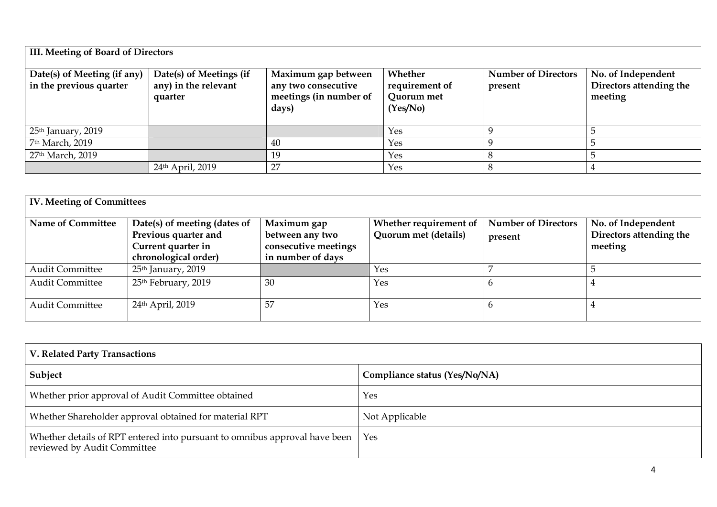| <b>III. Meeting of Board of Directors</b>              |                                                            |                                                                               |                                                     |                                       |                                                          |  |  |
|--------------------------------------------------------|------------------------------------------------------------|-------------------------------------------------------------------------------|-----------------------------------------------------|---------------------------------------|----------------------------------------------------------|--|--|
| Date(s) of Meeting (if any)<br>in the previous quarter | Date(s) of Meetings (if<br>any) in the relevant<br>quarter | Maximum gap between<br>any two consecutive<br>meetings (in number of<br>days) | Whether<br>requirement of<br>Quorum met<br>(Yes/No) | <b>Number of Directors</b><br>present | No. of Independent<br>Directors attending the<br>meeting |  |  |
| 25th January, 2019                                     |                                                            |                                                                               | Yes                                                 |                                       |                                                          |  |  |
| 7 <sup>th</sup> March, 2019                            |                                                            | 40                                                                            | Yes                                                 |                                       |                                                          |  |  |
| 27 <sup>th</sup> March, 2019                           |                                                            | 19                                                                            | Yes                                                 |                                       |                                                          |  |  |
|                                                        | 24th April, 2019                                           | 27                                                                            | Yes                                                 |                                       |                                                          |  |  |

| <b>IV. Meeting of Committees</b> |                                                                                                    |                                                                             |                                                |                                       |                                                          |  |  |
|----------------------------------|----------------------------------------------------------------------------------------------------|-----------------------------------------------------------------------------|------------------------------------------------|---------------------------------------|----------------------------------------------------------|--|--|
| <b>Name of Committee</b>         | Date(s) of meeting (dates of<br>Previous quarter and<br>Current quarter in<br>chronological order) | Maximum gap<br>between any two<br>consecutive meetings<br>in number of days | Whether requirement of<br>Quorum met (details) | <b>Number of Directors</b><br>present | No. of Independent<br>Directors attending the<br>meeting |  |  |
| <b>Audit Committee</b>           | 25 <sup>th</sup> January, 2019                                                                     |                                                                             | Yes                                            |                                       |                                                          |  |  |
| <b>Audit Committee</b>           | 25 <sup>th</sup> February, 2019                                                                    | 30                                                                          | Yes                                            |                                       |                                                          |  |  |
| <b>Audit Committee</b>           | 24th April, 2019                                                                                   | 57                                                                          | Yes                                            |                                       |                                                          |  |  |

| V. Related Party Transactions                                                                             |                               |  |  |  |
|-----------------------------------------------------------------------------------------------------------|-------------------------------|--|--|--|
| Subject                                                                                                   | Compliance status (Yes/No/NA) |  |  |  |
| Whether prior approval of Audit Committee obtained                                                        | Yes                           |  |  |  |
| Whether Shareholder approval obtained for material RPT                                                    | Not Applicable                |  |  |  |
| Whether details of RPT entered into pursuant to omnibus approval have been<br>reviewed by Audit Committee | Yes                           |  |  |  |